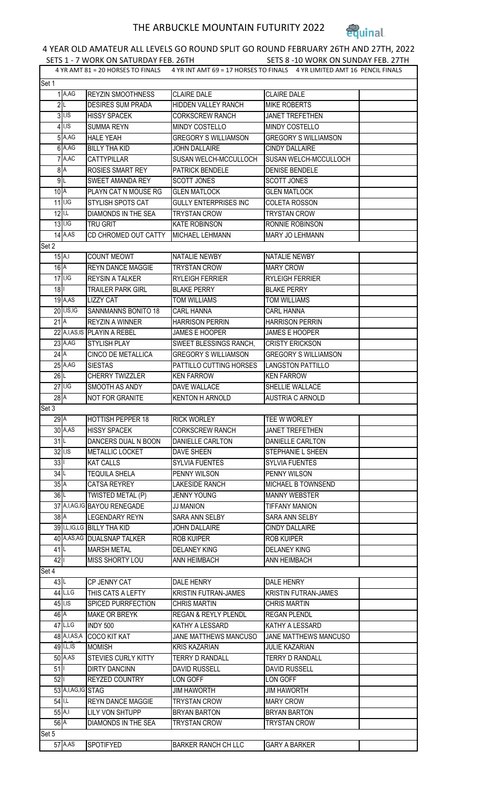## THE ARBUCKLE MOUNTAIN FUTURITY 2022



## 4 YEAR OLD AMATEUR ALL LEVELS GO ROUND SPLIT GO ROUND FEBRUARY 26TH AND 27TH, 2022

SETS 1 - 7 WORK ON SATURDAY FEB. 26TH SETS 8 -10 WORK ON SUNDAY FEB. 27TH 4 YR AMT 81 = 20 HORSES TO FINALS 4 YR INT AMT 69 = 17 HORSES TO FINALS 4 YR LIMITED AMT 16 PENCIL FINALS

| Set 1                |                      |                                          |                                        |                                      |  |  |
|----------------------|----------------------|------------------------------------------|----------------------------------------|--------------------------------------|--|--|
|                      | $1$ A,AG             | REYZIN SMOOTHNESS                        | <b>CLAIRE DALE</b>                     | <b>CLAIRE DALE</b>                   |  |  |
| 2 L                  |                      | <b>DESIRES SUM PRADA</b>                 | HIDDEN VALLEY RANCH                    | <b>MIKE ROBERTS</b>                  |  |  |
|                      | $3$ . I.S            | <b>HISSY SPACEK</b>                      | <b>CORKSCREW RANCH</b>                 | JANET TREFETHEN                      |  |  |
|                      | $4$ <sub>I,IS</sub>  | <b>SUMMA REYN</b>                        | MINDY COSTELLO                         | <b>MINDY COSTELLO</b>                |  |  |
|                      | $5$ $A,AG$           | <b>HALE YEAH</b>                         | <b>GREGORY S WILLIAMSON</b>            | <b>GREGORY S WILLIAMSON</b>          |  |  |
|                      | $6$ A,AG             | <b>BILLY THA KID</b>                     | <b>JOHN DALLAIRE</b>                   | <b>CINDY DALLAIRE</b>                |  |  |
|                      | $7$ $A,AC$           | <b>CATTYPILLAR</b>                       | SUSAN WELCH-MCCULLOCH                  | SUSAN WELCH-MCCULLOCH                |  |  |
| 8A                   |                      | <b>ROSIES SMART REY</b>                  | PATRICK BENDELE                        | <b>DENISE BENDELE</b>                |  |  |
| 9L                   |                      | <b>SWEET AMANDA REY</b>                  | <b>SCOTT JONES</b>                     | <b>SCOTT JONES</b>                   |  |  |
| 10 <sup>A</sup>      |                      | PLAYN CAT N MOUSE RG                     | <b>GLEN MATLOCK</b>                    | <b>GLEN MATLOCK</b>                  |  |  |
|                      | $11$ <sup>I,IG</sup> | <b>STYLISH SPOTS CAT</b>                 | <b>GULLY ENTERPRISES INC</b>           | <b>COLETA ROSSON</b>                 |  |  |
| $12$   L             |                      | <b>DIAMONDS IN THE SEA</b>               | <b>TRYSTAN CROW</b>                    | <b>TRYSTAN CROW</b>                  |  |  |
|                      | $13$ $I, I$ G        | <b>TRU GRIT</b>                          | <b>KATE ROBINSON</b>                   | RONNIE ROBINSON                      |  |  |
|                      | $14$ A,AS            | CD CHROMED OUT CATTY                     | MICHAEL LEHMANN                        | MARY JO LEHMANN                      |  |  |
| Set 2                |                      |                                          |                                        |                                      |  |  |
| $15$ <sup>A,I</sup>  |                      | <b>COUNT MEOWT</b>                       | <b>NATALIE NEWBY</b>                   | NATALIE NEWBY                        |  |  |
| 16A                  |                      | <b>REYN DANCE MAGGIE</b>                 | <b>TRYSTAN CROW</b>                    | <b>MARY CROW</b>                     |  |  |
|                      | $17$ I,IG            | <b>REYSIN A TALKER</b>                   | <b>RYLEIGH FERRIER</b>                 | RYLEIGH FERRIER                      |  |  |
| 18                   |                      | <b>TRAILER PARK GIRL</b>                 | <b>BLAKE PERRY</b>                     | <b>BLAKE PERRY</b>                   |  |  |
|                      | $19$ A, AS           | <b>LIZZY CAT</b>                         | <b>TOM WILLIAMS</b>                    | TOM WILLIAMS                         |  |  |
|                      | 20 I, IS, IG         | <b>SANNMANNS BONITO 18</b>               | <b>CARL HANNA</b>                      | <b>CARL HANNA</b>                    |  |  |
| 21A                  |                      | <b>REYZIN A WINNER</b>                   | <b>HARRISON PERRIN</b>                 | <b>HARRISON PERRIN</b>               |  |  |
|                      |                      | 22 A, I, AS, IS PLAYIN A REBEL           | <b>JAMES E HOOPER</b>                  | <b>JAMES E HOOPER</b>                |  |  |
|                      | $23$ A, AG           | <b>STYLISH PLAY</b>                      | SWEET BLESSINGS RANCH,                 | <b>CRISTY ERICKSON</b>               |  |  |
| $24$ A               |                      | <b>CINCO DE METALLICA</b>                | <b>GREGORY S WILLIAMSON</b>            | <b>GREGORY S WILLIAMSON</b>          |  |  |
|                      | 25A,AG               | <b>SIESTAS</b>                           | PATTILLO CUTTING HORSES                | <b>LANGSTON PATTILLO</b>             |  |  |
| 26L                  |                      |                                          |                                        |                                      |  |  |
|                      | $27$  I,IG           | CHERRY TWIZZLER                          | <b>KEN FARROW</b>                      | <b>KEN FARROW</b><br>SHELLIE WALLACE |  |  |
|                      |                      | SMOOTH AS ANDY<br><b>NOT FOR GRANITE</b> | DAVE WALLACE<br><b>KENTON H ARNOLD</b> | <b>AUSTRIA C ARNOLD</b>              |  |  |
| $28$ <sup>A</sup>    |                      |                                          |                                        |                                      |  |  |
| Set 3                |                      |                                          |                                        |                                      |  |  |
| $29$ <sup>A</sup>    |                      | <b>HOTTISH PEPPER 18</b>                 | <b>RICK WORLEY</b>                     | TEE W WORLEY                         |  |  |
|                      | $30 \overline{A,AS}$ | <b>HISSY SPACEK</b>                      | <b>CORKSCREW RANCH</b>                 | <b>JANET TREFETHEN</b>               |  |  |
| 31L                  |                      | DANCERS DUAL N BOON                      | DANIELLE CARLTON                       | DANIELLE CARLTON                     |  |  |
|                      | $32$ I, IS           | METALLIC LOCKET                          | DAVE SHEEN                             | STEPHANIE L SHEEN                    |  |  |
| 33                   |                      | <b>KAT CALLS</b>                         | <b>SYLVIA FUENTES</b>                  | SYLVIA FUENTES                       |  |  |
| 34L                  |                      | <b>TEQUILA SHELA</b>                     | PENNY WILSON                           | PENNY WILSON                         |  |  |
| 35A                  |                      | <b>CATSA REYREY</b>                      | <b>LAKESIDE RANCH</b>                  | MICHAEL B TOWNSEND                   |  |  |
| 36L                  |                      | TWISTED METAL (P)                        | <b>JENNY YOUNG</b>                     | <b>MANNY WEBSTER</b>                 |  |  |
|                      |                      | 37 A, I, AG, IG BAYOU RENEGADE           | <b>JJ MANION</b>                       | <b>TIFFANY MANION</b>                |  |  |
| 38A                  |                      | <b>LEGENDARY REYN</b>                    | SARA ANN SELBY                         | <b>SARA ANN SELBY</b>                |  |  |
|                      |                      | 39 I,L,IG,LG BILLY THA KID               | <b>JOHN DALLAIRE</b>                   | <b>CINDY DALLAIRE</b>                |  |  |
|                      |                      | 40 A,AS,AG DUALSNAP TALKER               | <b>ROB KUIPER</b>                      | <b>ROB KUIPER</b>                    |  |  |
| 41L                  |                      | <b>MARSH METAL</b>                       | <b>DELANEY KING</b>                    | <b>DELANEY KING</b>                  |  |  |
| 42                   |                      | <b>MISS SHORTY LOU</b>                   | <b>ANN HEIMBACH</b>                    | ANN HEIMBACH                         |  |  |
| Set 4                |                      |                                          |                                        |                                      |  |  |
| 43L                  |                      | CP JENNY CAT                             | <b>DALE HENRY</b>                      | DALE HENRY                           |  |  |
|                      | $44$ L,LG            | THIS CATS A LEFTY                        | <b>KRISTIN FUTRAN-JAMES</b>            | <b>KRISTIN FUTRAN-JAMES</b>          |  |  |
|                      | $45$ <sub>I,IS</sub> | SPICED PURRFECTION                       | <b>CHRIS MARTIN</b>                    | <b>CHRIS MARTIN</b>                  |  |  |
| 46 A                 |                      | <b>MAKE OR BREYK</b>                     | <b>REGAN &amp; REYLY PLENDL</b>        | REGAN PLENDL                         |  |  |
|                      | $47$ L,LG            | <b>INDY 500</b>                          | KATHY A LESSARD                        | KATHY A LESSARD                      |  |  |
|                      | 48 A, I, AS, A       | <b>COCO KIT KAT</b>                      | <b>JANE MATTHEWS MANCUSO</b>           | <b>JANE MATTHEWS MANCUSO</b>         |  |  |
|                      | $49$ I, L, IS        | <b>MOMISH</b>                            | <b>KRIS KAZARIAN</b>                   | <b>JULIE KAZARIAN</b>                |  |  |
|                      | 50 A, AS             | <b>STEVIES CURLY KITTY</b>               | <b>TERRY D RANDALL</b>                 | <b>TERRY D RANDALL</b>               |  |  |
| 51                   |                      | <b>DIRTY DANCINN</b>                     | <b>DAVID RUSSELL</b>                   | <b>DAVID RUSSELL</b>                 |  |  |
| 52                   |                      | <b>REYZED COUNTRY</b>                    | LON GOFF                               | LON GOFF                             |  |  |
|                      | 53 A, I, AG, IG STAG |                                          | <b>JIM HAWORTH</b>                     | <b>JIM HAWORTH</b>                   |  |  |
| $54$ <sup>II.L</sup> |                      | <b>REYN DANCE MAGGIE</b>                 | <b>TRYSTAN CROW</b>                    | <b>MARY CROW</b>                     |  |  |
| 55 A,I               |                      | <b>LILY VON SHTUPP</b>                   | <b>BRYAN BARTON</b>                    | <b>BRYAN BARTON</b>                  |  |  |
| 56 A                 |                      | <b>DIAMONDS IN THE SEA</b>               | <b>TRYSTAN CROW</b>                    | TRYSTAN CROW                         |  |  |
| Set 5                |                      |                                          |                                        |                                      |  |  |
|                      | 57 A, AS             | <b>SPOTIFYED</b>                         | <b>BARKER RANCH CH LLC</b>             | <b>GARY A BARKER</b>                 |  |  |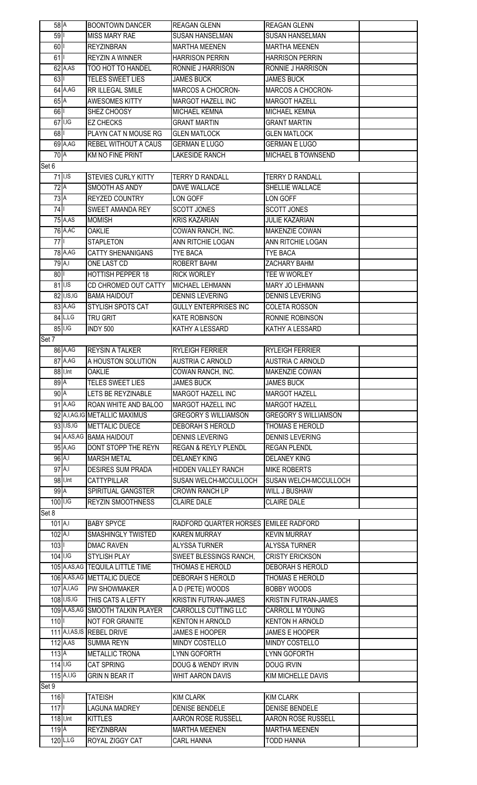| 58A                                                                                  |                | <b>BOONTOWN DANCER</b>               | <b>REAGAN GLENN</b>                       | <b>REAGAN GLENN</b>                       |  |  |  |  |
|--------------------------------------------------------------------------------------|----------------|--------------------------------------|-------------------------------------------|-------------------------------------------|--|--|--|--|
| 59                                                                                   |                | <b>MISS MARY RAE</b>                 | <b>SUSAN HANSELMAN</b>                    | <b>SUSAN HANSELMAN</b>                    |  |  |  |  |
| 60                                                                                   |                | <b>REYZINBRAN</b>                    | <b>MARTHA MEENEN</b>                      | <b>MARTHA MEENEN</b>                      |  |  |  |  |
| 61                                                                                   |                | <b>REYZIN A WINNER</b>               | <b>HARRISON PERRIN</b>                    | <b>HARRISON PERRIN</b>                    |  |  |  |  |
|                                                                                      | $62$ A, AS     | TOO HOT TO HANDEL                    | RONNIE J HARRISON                         | RONNIE J HARRISON                         |  |  |  |  |
| 63                                                                                   |                | TELES SWEET LIES                     | <b>JAMES BUCK</b>                         | <b>JAMES BUCK</b>                         |  |  |  |  |
|                                                                                      | 64 A, AG       | RR ILLEGAL SMILE                     | MARCOS A CHOCRON-                         | <b>MARCOS A CHOCRON-</b>                  |  |  |  |  |
| 65A                                                                                  |                | <b>AWESOMES KITTY</b>                | <b>MARGOT HAZELL INC</b>                  | <b>MARGOT HAZELL</b>                      |  |  |  |  |
| 66                                                                                   |                | SHEZ CHOOSY                          | MICHAEL KEMNA                             | MICHAEL KEMNA                             |  |  |  |  |
|                                                                                      | $67$ I, IG     | <b>EZ CHECKS</b>                     | <b>GRANT MARTIN</b>                       | <b>GRANT MARTIN</b>                       |  |  |  |  |
| 68                                                                                   |                | PLAYN CAT N MOUSE RG                 | <b>GLEN MATLOCK</b>                       | <b>GLEN MATLOCK</b>                       |  |  |  |  |
|                                                                                      | 69 A, AG       | <b>REBEL WITHOUT A CAUS</b>          | <b>GERMAN E LUGO</b>                      | <b>GERMAN E LUGO</b>                      |  |  |  |  |
|                                                                                      |                |                                      |                                           |                                           |  |  |  |  |
| 70A<br><b>MICHAEL B TOWNSEND</b><br><b>KM NO FINE PRINT</b><br><b>LAKESIDE RANCH</b> |                |                                      |                                           |                                           |  |  |  |  |
| Set 6                                                                                |                |                                      |                                           |                                           |  |  |  |  |
|                                                                                      | $71$ I, IS     | <b>STEVIES CURLY KITTY</b>           | <b>TERRY D RANDALL</b>                    | <b>TERRY D RANDALL</b>                    |  |  |  |  |
| 72A                                                                                  |                | <b>SMOOTH AS ANDY</b>                | DAVE WALLACE                              | SHELLIE WALLACE                           |  |  |  |  |
| 73A                                                                                  |                | REYZED COUNTRY                       | LON GOFF                                  | LON GOFF                                  |  |  |  |  |
| 74                                                                                   |                | <b>SWEET AMANDA REY</b>              | <b>SCOTT JONES</b>                        | <b>SCOTT JONES</b>                        |  |  |  |  |
|                                                                                      | 75 A, AS       | <b>MOMISH</b>                        | <b>KRIS KAZARIAN</b>                      | <b>JULIE KAZARIAN</b>                     |  |  |  |  |
|                                                                                      | 76 A, AC       | <b>OAKLIE</b>                        | COWAN RANCH, INC.                         | MAKENZIE COWAN                            |  |  |  |  |
| 77                                                                                   |                | <b>STAPLETON</b>                     | ANN RITCHIE LOGAN                         | ANN RITCHIE LOGAN                         |  |  |  |  |
|                                                                                      | 78 A, AG       | <b>CATTY SHENANIGANS</b>             | <b>TYE BACA</b>                           | TYE BACA                                  |  |  |  |  |
| $79$ <sup>A,I</sup>                                                                  |                | ONE LAST CD                          | ROBERT BAHM                               | ZACHARY BAHM                              |  |  |  |  |
| $80$                                                                                 |                | <b>HOTTISH PEPPER 18</b>             | <b>RICK WORLEY</b>                        | TEE W WORLEY                              |  |  |  |  |
|                                                                                      | $81$ I, IS     | CD CHROMED OUT CATTY                 | MICHAEL LEHMANN                           | MARY JO LEHMANN                           |  |  |  |  |
|                                                                                      | 82 I, IS, IG   | <b>BAMA HAIDOUT</b>                  | <b>DENNIS LEVERING</b>                    | <b>DENNIS LEVERING</b>                    |  |  |  |  |
|                                                                                      | 83 A, AG       | STYLISH SPOTS CAT                    | <b>GULLY ENTERPRISES INC</b>              | <b>COLETA ROSSON</b>                      |  |  |  |  |
|                                                                                      | $84$ L,LG      | TRU GRIT                             | <b>KATE ROBINSON</b>                      | RONNIE ROBINSON                           |  |  |  |  |
|                                                                                      |                | INDY 500                             | KATHY A LESSARD                           | KATHY A LESSARD                           |  |  |  |  |
| $85\overline{\phantom{1}\rvert 1,\rvert G}$<br>Set 7                                 |                |                                      |                                           |                                           |  |  |  |  |
|                                                                                      | 86 A, AG       | <b>REYSIN A TALKER</b>               | <b>RYLEIGH FERRIER</b>                    | <b>RYLEIGH FERRIER</b>                    |  |  |  |  |
|                                                                                      | 87 A, AG       | A HOUSTON SOLUTION                   | <b>AUSTRIA C ARNOLD</b>                   | <b>AUSTRIA C ARNOLD</b>                   |  |  |  |  |
|                                                                                      | 88 I, Int      | <b>OAKLIE</b>                        | COWAN RANCH, INC.                         | MAKENZIE COWAN                            |  |  |  |  |
|                                                                                      |                | TELES SWEET LIES                     |                                           |                                           |  |  |  |  |
| 89A                                                                                  |                | LETS BE REYZINABLE                   | <b>JAMES BUCK</b><br>MARGOT HAZELL INC    | <b>JAMES BUCK</b>                         |  |  |  |  |
| 90A                                                                                  |                |                                      |                                           |                                           |  |  |  |  |
|                                                                                      |                |                                      |                                           | <b>MARGOT HAZELL</b>                      |  |  |  |  |
|                                                                                      | $91$ A, AG     | <b>ROAN WHITE AND BALOO</b>          | <b>MARGOT HAZELL INC</b>                  | <b>MARGOT HAZELL</b>                      |  |  |  |  |
|                                                                                      |                | 92 A, I, AG, IG METALLIC MAXIMUS     | <b>GREGORY S WILLIAMSON</b>               | <b>GREGORY S WILLIAMSON</b>               |  |  |  |  |
|                                                                                      | 93 I, IS, IG   | METTALIC DUECE                       | DEBORAH S HEROLD                          | THOMAS E HEROLD                           |  |  |  |  |
|                                                                                      |                | 94 A, AS, AG BAMA HAIDOUT            | <b>DENNIS LEVERING</b>                    | <b>DENNIS LEVERING</b>                    |  |  |  |  |
|                                                                                      | 95 A, AG       | DONT STOPP THE REYN                  | <b>REGAN &amp; REYLY PLENDL</b>           | <b>REGAN PLENDL</b>                       |  |  |  |  |
| $96$ A, I                                                                            |                | <b>MARSH METAL</b>                   | <b>DELANEY KING</b>                       | <b>DELANEY KING</b>                       |  |  |  |  |
| $97$ A,I                                                                             |                | <b>DESIRES SUM PRADA</b>             | HIDDEN VALLEY RANCH                       | <b>MIKE ROBERTS</b>                       |  |  |  |  |
|                                                                                      | 98 I, Int      | CATTYPILLAR                          | SUSAN WELCH-MCCULLOCH                     | <b>SUSAN WELCH-MCCULLOCH</b>              |  |  |  |  |
| 99A                                                                                  |                | SPIRITUAL GANGSTER                   | <b>CROWN RANCH LP</b>                     | <b>WILL J BUSHAW</b>                      |  |  |  |  |
| $100$ $I, I$ G                                                                       |                | <b>REYZIN SMOOTHNESS</b>             | <b>CLAIRE DALE</b>                        | <b>CLAIRE DALE</b>                        |  |  |  |  |
| Set 8                                                                                |                |                                      |                                           |                                           |  |  |  |  |
| $101$ A,I                                                                            |                | <b>BABY SPYCE</b>                    | RADFORD QUARTER HORSES EMILEE RADFORD     |                                           |  |  |  |  |
| $102$ A,I                                                                            |                | SMASHINGLY TWISTED                   | <b>KAREN MURRAY</b>                       | <b>KEVIN MURRAY</b>                       |  |  |  |  |
| 103                                                                                  |                | <b>DMAC RAVEN</b>                    | ALYSSA TURNER                             | <b>ALYSSA TURNER</b>                      |  |  |  |  |
| $104$ $I, I$ G                                                                       |                | <b>STYLISH PLAY</b>                  | SWEET BLESSINGS RANCH,                    | <b>CRISTY ERICKSON</b>                    |  |  |  |  |
|                                                                                      |                | 105 A, AS, AG TEQUILA LITTLE TIME    | THOMAS E HEROLD                           | DEBORAH S HEROLD                          |  |  |  |  |
|                                                                                      |                | 106 A, AS, AG METTALIC DUECE         | DEBORAH S HEROLD                          | THOMAS E HEROLD                           |  |  |  |  |
|                                                                                      | 107 A, I, AG   | <b>PW SHOWMAKER</b>                  | A D (PETE) WOODS                          | <b>BOBBY WOODS</b>                        |  |  |  |  |
|                                                                                      | 108 I, IS, IG  | THIS CATS A LEFTY                    | <b>KRISTIN FUTRAN-JAMES</b>               | <b>KRISTIN FUTRAN-JAMES</b>               |  |  |  |  |
|                                                                                      |                | 109 A, AS, AG SMOOTH TALKIN PLAYER   | CARROLLS CUTTING LLC                      | <b>CARROLL M YOUNG</b>                    |  |  |  |  |
|                                                                                      |                |                                      |                                           |                                           |  |  |  |  |
| 110                                                                                  |                | <b>NOT FOR GRANITE</b>               | <b>KENTON H ARNOLD</b>                    | <b>KENTON H ARNOLD</b>                    |  |  |  |  |
|                                                                                      |                | 111 A, I, AS, IS REBEL DRIVE         | JAMES E HOOPER                            | <b>JAMES E HOOPER</b>                     |  |  |  |  |
|                                                                                      | $112$ A, AS    | <b>SUMMA REYN</b>                    | MINDY COSTELLO                            | MINDY COSTELLO                            |  |  |  |  |
| 113A                                                                                 |                | <b>METALLIC TRONA</b>                | LYNN GOFORTH                              | LYNN GOFORTH                              |  |  |  |  |
| $114$ I, IG                                                                          |                | <b>CAT SPRING</b>                    | DOUG & WENDY IRVIN                        | <b>DOUG IRVIN</b>                         |  |  |  |  |
|                                                                                      | $115$ A, I, IG | <b>GRIN N BEAR IT</b>                | <b>WHIT AARON DAVIS</b>                   | <b>KIM MICHELLE DAVIS</b>                 |  |  |  |  |
| Set 9                                                                                |                |                                      |                                           |                                           |  |  |  |  |
| 116                                                                                  |                | <b>TATEISH</b>                       | <b>KIM CLARK</b>                          | <b>KIM CLARK</b>                          |  |  |  |  |
| 117                                                                                  |                | <b>LAGUNA MADREY</b>                 | <b>DENISE BENDELE</b>                     | <b>DENISE BENDELE</b>                     |  |  |  |  |
| 118 I, Int                                                                           |                | <b>KITTLES</b>                       | AARON ROSE RUSSELL                        | AARON ROSE RUSSELL                        |  |  |  |  |
| 119A                                                                                 | $120$ L,LG     | <b>REYZINBRAN</b><br>ROYAL ZIGGY CAT | <b>MARTHA MEENEN</b><br><b>CARL HANNA</b> | <b>MARTHA MEENEN</b><br><b>TODD HANNA</b> |  |  |  |  |